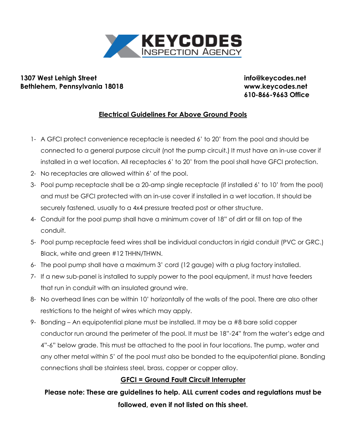

## **1307 West Lehigh Street info@keycodes.net Bethlehem, Pennsylvania 18018 www.keycodes.net**

**610-866-9663 Office**

## **Electrical Guidelines For Above Ground Pools**

- 1- A GFCI protect convenience receptacle is needed 6' to 20' from the pool and should be connected to a general purpose circuit (not the pump circuit.) It must have an in-use cover if installed in a wet location. All receptacles 6' to 20' from the pool shall have GFCI protection.
- 2- No receptacles are allowed within 6' of the pool.
- 3- Pool pump receptacle shall be a 20-amp single receptacle (if installed 6' to 10' from the pool) and must be GFCI protected with an in-use cover if installed in a wet location. It should be securely fastened, usually to a 4x4 pressure treated post or other structure.
- 4- Conduit for the pool pump shall have a minimum cover of 18" of dirt or fill on top of the conduit.
- 5- Pool pump receptacle feed wires shall be individual conductors in rigid conduit (PVC or GRC.) Black, white and green #12 THHN/THWN.
- 6- The pool pump shall have a maximum 3' cord (12 gauge) with a plug factory installed.
- 7- If a new sub-panel is installed to supply power to the pool equipment, it must have feeders that run in conduit with an insulated ground wire.
- 8- No overhead lines can be within 10' horizontally of the walls of the pool. There are also other restrictions to the height of wires which may apply.
- 9- Bonding An equipotential plane must be installed. It may be a #8 bare solid copper conductor run around the perimeter of the pool. It must be 18"-24" from the water's edge and 4"-6" below grade. This must be attached to the pool in four locations. The pump, water and any other metal within 5' of the pool must also be bonded to the equipotential plane. Bonding connections shall be stainless steel, brass, copper or copper alloy.

## **GFCI = Ground Fault Circuit Interrupter**

**Please note: These are guidelines to help. ALL current codes and regulations must be followed, even if not listed on this sheet.**